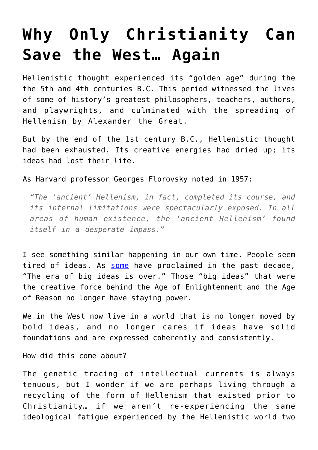## **[Why Only Christianity Can](https://intellectualtakeout.org/2017/09/why-only-christianity-can-save-the-west-again/) [Save the West… Again](https://intellectualtakeout.org/2017/09/why-only-christianity-can-save-the-west-again/)**

Hellenistic thought experienced its "golden age" during the the 5th and 4th centuries B.C. This period witnessed the lives of some of history's greatest philosophers, teachers, authors, and playwrights, and culminated with the spreading of Hellenism by Alexander the Great.

But by the end of the 1st century B.C., Hellenistic thought had been exhausted. Its creative energies had dried up; its ideas had lost their life.

As Harvard professor Georges Florovsky noted in 1957:

*"The 'ancient' Hellenism, in fact, completed its course, and its internal limitations were spectacularly exposed. In all areas of human existence, the 'ancient Hellenism' found itself in a desperate impass."*

I see something similar happening in our own time. People seem tired of ideas. As [some](http://www.claremont.org/crb/article/the-era-of-big-ideas-is-over/) have proclaimed in the past decade, "The era of big ideas is over." Those "big ideas" that were the creative force behind the Age of Enlightenment and the Age of Reason no longer have staying power.

We in the West now live in a world that is no longer moved by bold ideas, and no longer cares if ideas have solid foundations and are expressed coherently and consistently.

How did this come about?

The genetic tracing of intellectual currents is always tenuous, but I wonder if we are perhaps living through a recycling of the form of Hellenism that existed prior to Christianity… if we aren't re-experiencing the same ideological fatigue experienced by the Hellenistic world two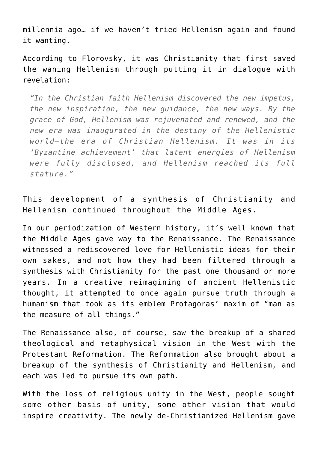millennia ago… if we haven't tried Hellenism again and found it wanting.

According to Florovsky, it was Christianity that first saved the waning Hellenism through putting it in dialogue with revelation:

*"In the Christian faith Hellenism discovered the new impetus, the new inspiration, the new guidance, the new ways. By the grace of God, Hellenism was rejuvenated and renewed, and the new era was inaugurated in the destiny of the Hellenistic world—the era of Christian Hellenism. It was in its 'Byzantine achievement' that latent energies of Hellenism were fully disclosed, and Hellenism reached its full stature."*

This development of a synthesis of Christianity and Hellenism continued throughout the Middle Ages.

In our periodization of Western history, it's well known that the Middle Ages gave way to the Renaissance. The Renaissance witnessed a rediscovered love for Hellenistic ideas for their own sakes, and not how they had been filtered through a synthesis with Christianity for the past one thousand or more years. In a creative reimagining of ancient Hellenistic thought, it attempted to once again pursue truth through a humanism that took as its emblem Protagoras' maxim of "man as the measure of all things."

The Renaissance also, of course, saw the breakup of a shared theological and metaphysical vision in the West with the Protestant Reformation. The Reformation also brought about a breakup of the synthesis of Christianity and Hellenism, and each was led to pursue its own path.

With the loss of religious unity in the West, people sought some other basis of unity, some other vision that would inspire creativity. The newly de-Christianized Hellenism gave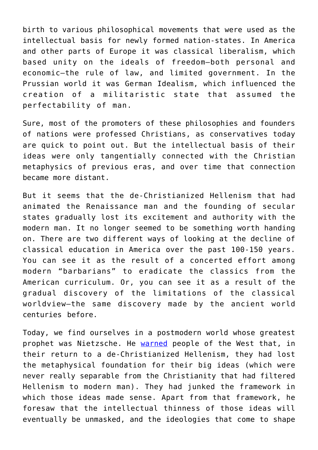birth to various philosophical movements that were used as the intellectual basis for newly formed nation-states. In America and other parts of Europe it was classical liberalism, which based unity on the ideals of freedom—both personal and economic—the rule of law, and limited government. In the Prussian world it was German Idealism, which influenced the creation of a militaristic state that assumed the perfectability of man.

Sure, most of the promoters of these philosophies and founders of nations were professed Christians, as conservatives today are quick to point out. But the intellectual basis of their ideas were only tangentially connected with the Christian metaphysics of previous eras, and over time that connection became more distant.

But it seems that the de-Christianized Hellenism that had animated the Renaissance man and the founding of secular states gradually lost its excitement and authority with the modern man. It no longer seemed to be something worth handing on. There are two different ways of looking at the decline of classical education in America over the past 100-150 years. You can see it as the result of a concerted effort among modern "barbarians" to eradicate the classics from the American curriculum. Or, you can see it as a result of the gradual discovery of the limitations of the classical worldview—the same discovery made by the ancient world centuries before.

Today, we find ourselves in a postmodern world whose greatest prophet was Nietzsche. He [warned](https://www.intellectualtakeout.org/blog/what-did-nietzsche-mean-god-dead) people of the West that, in their return to a de-Christianized Hellenism, they had lost the metaphysical foundation for their big ideas (which were never really separable from the Christianity that had filtered Hellenism to modern man). They had junked the framework in which those ideas made sense. Apart from that framework, he foresaw that the intellectual thinness of those ideas will eventually be unmasked, and the ideologies that come to shape